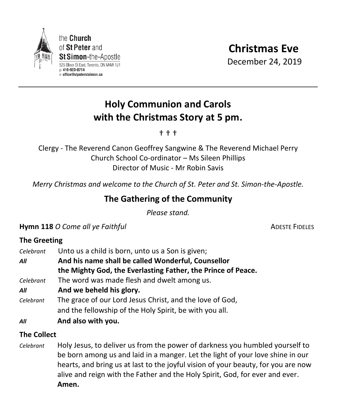

# **Holy Communion and Carols with the Christmas Story at 5 pm.**

† † †

Clergy - The Reverend Canon Geoffrey Sangwine & The Reverend Michael Perry Church School Co-ordinator – Ms Sileen Phillips Director of Music - Mr Robin Savis

*Merry Christmas and welcome to the Church of St. Peter and St. Simon-the-Apostle.*

# **The Gathering of the Community**

*Please stand.*

**Hymn 118** *O Come all ye Faithful* **ADESTE FIDELES ADESTE FIDELES** 

# **The Greeting**

| Celebrant | Unto us a child is born, unto us a Son is given;             |
|-----------|--------------------------------------------------------------|
| All       | And his name shall be called Wonderful, Counsellor           |
|           | the Mighty God, the Everlasting Father, the Prince of Peace. |
| Celebrant | The word was made flesh and dwelt among us.                  |
| All       | And we beheld his glory.                                     |
| Celebrant | The grace of our Lord Jesus Christ, and the love of God,     |
|           | and the fellowship of the Holy Spirit, be with you all.      |
| All       | And also with you.                                           |

- **The Collect**
- *Celebrant* Holy Jesus, to deliver us from the power of darkness you humbled yourself to be born among us and laid in a manger. Let the light of your love shine in our hearts, and bring us at last to the joyful vision of your beauty, for you are now alive and reign with the Father and the Holy Spirit, God, for ever and ever. **Amen.**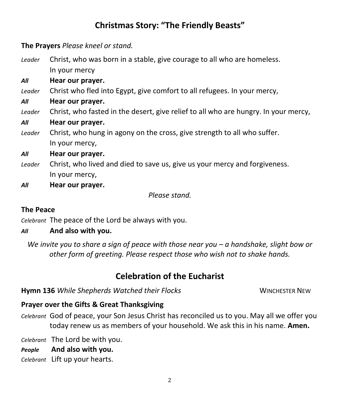# **Christmas Story: "The Friendly Beasts"**

#### **The Prayers** *Please kneel or stand.*

*Leader* Christ, who was born in a stable, give courage to all who are homeless. In your mercy

*All* **Hear our prayer.**

*Leader* Christ who fled into Egypt, give comfort to all refugees. In your mercy,

*All* **Hear our prayer.**

*Leader* Christ, who fasted in the desert, give relief to all who are hungry. In your mercy,

- *All* **Hear our prayer.**
- *Leader* Christ, who hung in agony on the cross, give strength to all who suffer. In your mercy,
- *All* **Hear our prayer.**
- *Leader* Christ, who lived and died to save us, give us your mercy and forgiveness. In your mercy,
- *All* **Hear our prayer.**

*Please stand.*

#### **The Peace**

*Celebrant* The peace of the Lord be always with you.

#### *All* **And also with you.**

*We invite you to share a sign of peace with those near you – a handshake, slight bow or other form of greeting. Please respect those who wish not to shake hands.*

# **Celebration of the Eucharist**

**Hymn 136** *While Shepherds Watched their Flocks* WINCHESTER NEW

#### **Prayer over the Gifts & Great Thanksgiving**

*Celebrant* God of peace, your Son Jesus Christ has reconciled us to you. May all we offer you today renew us as members of your household. We ask this in his name. **Amen.**

*Celebrant* The Lord be with you.

*People* **And also with you.**

*Celebrant* Lift up your hearts.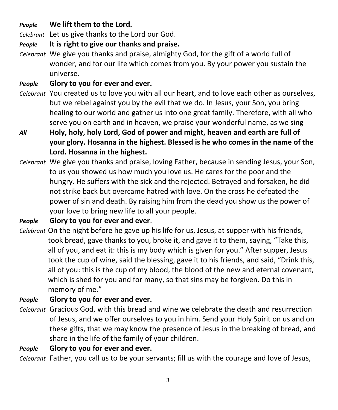## *People* **We lift them to the Lord.**

*Celebrant* Let us give thanks to the Lord our God.

- *People* **It is right to give our thanks and praise.**
- *Celebrant* We give you thanks and praise, almighty God, for the gift of a world full of wonder, and for our life which comes from you. By your power you sustain the universe.

## *People* **Glory to you for ever and ever.**

- *Celebrant* You created us to love you with all our heart, and to love each other as ourselves, but we rebel against you by the evil that we do. In Jesus, your Son, you bring healing to our world and gather us into one great family. Therefore, with all who serve you on earth and in heaven, we praise your wonderful name, as we sing
- *All* **Holy, holy, holy Lord, God of power and might, heaven and earth are full of your glory. Hosanna in the highest. Blessed is he who comes in the name of the Lord. Hosanna in the highest.**
- *Celebrant* We give you thanks and praise, loving Father, because in sending Jesus, your Son, to us you showed us how much you love us. He cares for the poor and the hungry. He suffers with the sick and the rejected. Betrayed and forsaken, he did not strike back but overcame hatred with love. On the cross he defeated the power of sin and death. By raising him from the dead you show us the power of your love to bring new life to all your people.
- *People* **Glory to you for ever and ever**.
- *Celebrant* On the night before he gave up his life for us, Jesus, at supper with his friends, took bread, gave thanks to you, broke it, and gave it to them, saying, "Take this, all of you, and eat it: this is my body which is given for you." After supper, Jesus took the cup of wine, said the blessing, gave it to his friends, and said, "Drink this, all of you: this is the cup of my blood, the blood of the new and eternal covenant, which is shed for you and for many, so that sins may be forgiven. Do this in memory of me."

## *People* **Glory to you for ever and ever.**

*Celebrant* Gracious God, with this bread and wine we celebrate the death and resurrection of Jesus, and we offer ourselves to you in him. Send your Holy Spirit on us and on these gifts, that we may know the presence of Jesus in the breaking of bread, and share in the life of the family of your children.

## *People* **Glory to you for ever and ever.**

*Celebrant* Father, you call us to be your servants; fill us with the courage and love of Jesus,